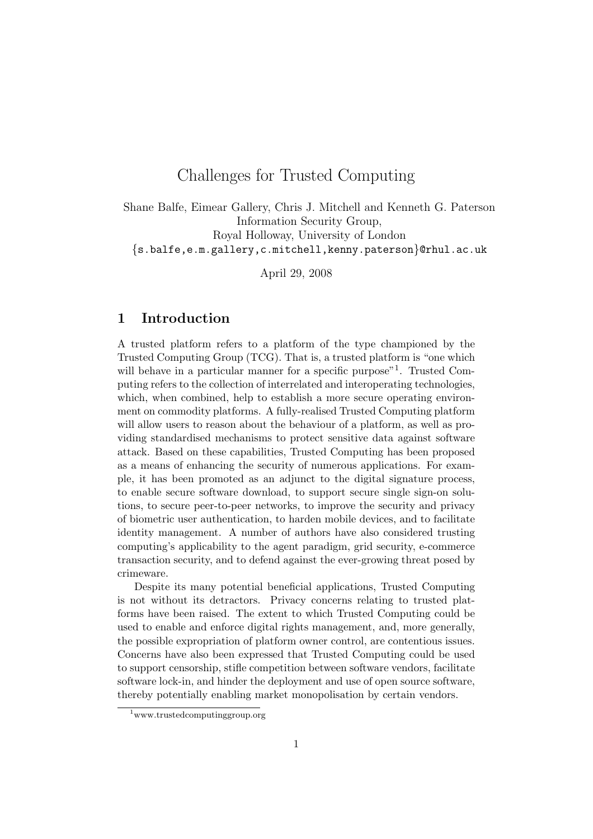# Challenges for Trusted Computing

Shane Balfe, Eimear Gallery, Chris J. Mitchell and Kenneth G. Paterson Information Security Group, Royal Holloway, University of London {s.balfe,e.m.gallery,c.mitchell,kenny.paterson}@rhul.ac.uk

April 29, 2008

#### 1 Introduction

A trusted platform refers to a platform of the type championed by the Trusted Computing Group (TCG). That is, a trusted platform is "one which will behave in a particular manner for a specific purpose"<sup>1</sup>. Trusted Computing refers to the collection of interrelated and interoperating technologies, which, when combined, help to establish a more secure operating environment on commodity platforms. A fully-realised Trusted Computing platform will allow users to reason about the behaviour of a platform, as well as providing standardised mechanisms to protect sensitive data against software attack. Based on these capabilities, Trusted Computing has been proposed as a means of enhancing the security of numerous applications. For example, it has been promoted as an adjunct to the digital signature process, to enable secure software download, to support secure single sign-on solutions, to secure peer-to-peer networks, to improve the security and privacy of biometric user authentication, to harden mobile devices, and to facilitate identity management. A number of authors have also considered trusting computing's applicability to the agent paradigm, grid security, e-commerce transaction security, and to defend against the ever-growing threat posed by crimeware.

Despite its many potential beneficial applications, Trusted Computing is not without its detractors. Privacy concerns relating to trusted platforms have been raised. The extent to which Trusted Computing could be used to enable and enforce digital rights management, and, more generally, the possible expropriation of platform owner control, are contentious issues. Concerns have also been expressed that Trusted Computing could be used to support censorship, stifle competition between software vendors, facilitate software lock-in, and hinder the deployment and use of open source software, thereby potentially enabling market monopolisation by certain vendors.

<sup>1</sup>www.trustedcomputinggroup.org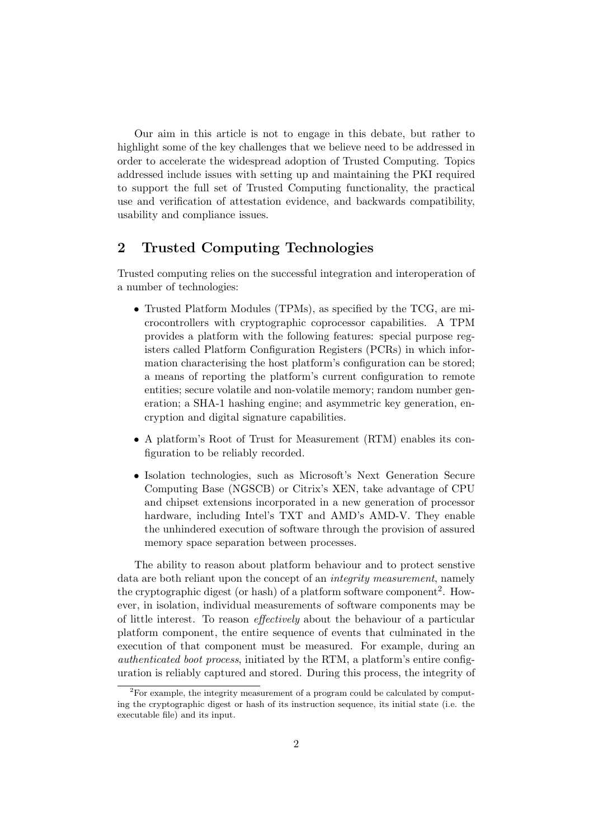Our aim in this article is not to engage in this debate, but rather to highlight some of the key challenges that we believe need to be addressed in order to accelerate the widespread adoption of Trusted Computing. Topics addressed include issues with setting up and maintaining the PKI required to support the full set of Trusted Computing functionality, the practical use and verification of attestation evidence, and backwards compatibility, usability and compliance issues.

## 2 Trusted Computing Technologies

Trusted computing relies on the successful integration and interoperation of a number of technologies:

- Trusted Platform Modules (TPMs), as specified by the TCG, are microcontrollers with cryptographic coprocessor capabilities. A TPM provides a platform with the following features: special purpose registers called Platform Configuration Registers (PCRs) in which information characterising the host platform's configuration can be stored; a means of reporting the platform's current configuration to remote entities; secure volatile and non-volatile memory; random number generation; a SHA-1 hashing engine; and asymmetric key generation, encryption and digital signature capabilities.
- A platform's Root of Trust for Measurement (RTM) enables its configuration to be reliably recorded.
- Isolation technologies, such as Microsoft's Next Generation Secure Computing Base (NGSCB) or Citrix's XEN, take advantage of CPU and chipset extensions incorporated in a new generation of processor hardware, including Intel's TXT and AMD's AMD-V. They enable the unhindered execution of software through the provision of assured memory space separation between processes.

The ability to reason about platform behaviour and to protect senstive data are both reliant upon the concept of an integrity measurement, namely the cryptographic digest (or hash) of a platform software component<sup>2</sup>. However, in isolation, individual measurements of software components may be of little interest. To reason effectively about the behaviour of a particular platform component, the entire sequence of events that culminated in the execution of that component must be measured. For example, during an authenticated boot process, initiated by the RTM, a platform's entire configuration is reliably captured and stored. During this process, the integrity of

 ${}^{2}$ For example, the integrity measurement of a program could be calculated by computing the cryptographic digest or hash of its instruction sequence, its initial state (i.e. the executable file) and its input.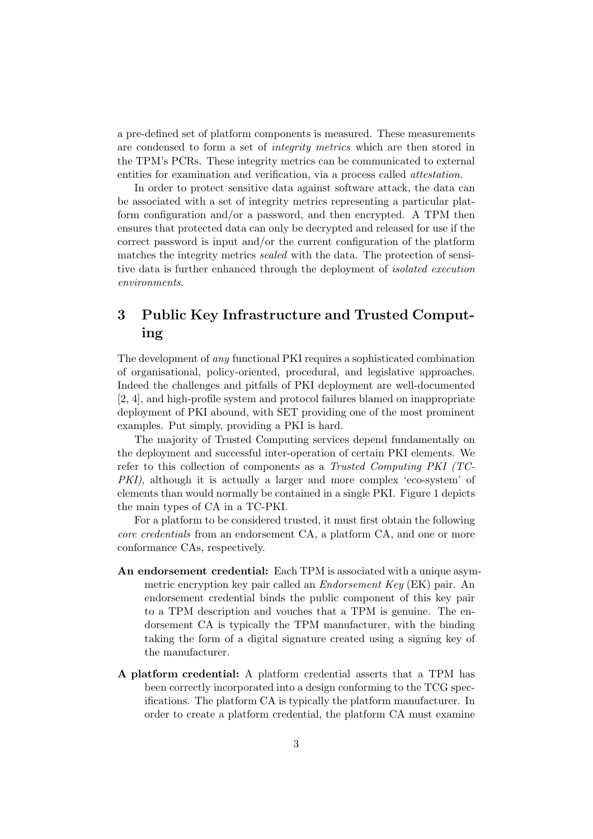a pre-defined set of platform components is measured. These measurements are condensed to form a set of integrity metrics which are then stored in the TPM's PCRs. These integrity metrics can be communicated to external entities for examination and verification, via a process called attestation.

In order to protect sensitive data against software attack, the data can be associated with a set of integrity metrics representing a particular platform configuration and/or a password, and then encrypted. A TPM then ensures that protected data can only be decrypted and released for use if the correct password is input and/or the current configuration of the platform matches the integrity metrics sealed with the data. The protection of sensitive data is further enhanced through the deployment of isolated execution environments.

## 3 Public Key Infrastructure and Trusted Computing

The development of any functional PKI requires a sophisticated combination of organisational, policy-oriented, procedural, and legislative approaches. Indeed the challenges and pitfalls of PKI deployment are well-documented [2, 4], and high-profile system and protocol failures blamed on inappropriate deployment of PKI abound, with SET providing one of the most prominent examples. Put simply, providing a PKI is hard.

The majority of Trusted Computing services depend fundamentally on the deployment and successful inter-operation of certain PKI elements. We refer to this collection of components as a Trusted Computing PKI (TC-PKI), although it is actually a larger and more complex 'eco-system' of elements than would normally be contained in a single PKI. Figure 1 depicts the main types of CA in a TC-PKI.

For a platform to be considered trusted, it must first obtain the following core credentials from an endorsement CA, a platform CA, and one or more conformance CAs, respectively.

- An endorsement credential: Each TPM is associated with a unique asymmetric encryption key pair called an Endorsement Key (EK) pair. An endorsement credential binds the public component of this key pair to a TPM description and vouches that a TPM is genuine. The endorsement CA is typically the TPM manufacturer, with the binding taking the form of a digital signature created using a signing key of the manufacturer.
- A platform credential: A platform credential asserts that a TPM has been correctly incorporated into a design conforming to the TCG specifications. The platform CA is typically the platform manufacturer. In order to create a platform credential, the platform CA must examine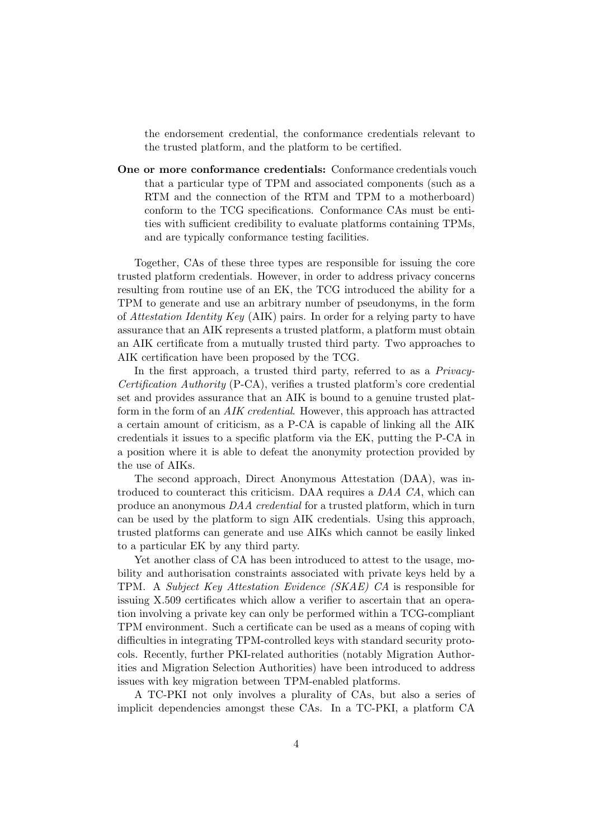the endorsement credential, the conformance credentials relevant to the trusted platform, and the platform to be certified.

One or more conformance credentials: Conformance credentials vouch that a particular type of TPM and associated components (such as a RTM and the connection of the RTM and TPM to a motherboard) conform to the TCG specifications. Conformance CAs must be entities with sufficient credibility to evaluate platforms containing TPMs, and are typically conformance testing facilities.

Together, CAs of these three types are responsible for issuing the core trusted platform credentials. However, in order to address privacy concerns resulting from routine use of an EK, the TCG introduced the ability for a TPM to generate and use an arbitrary number of pseudonyms, in the form of Attestation Identity Key (AIK) pairs. In order for a relying party to have assurance that an AIK represents a trusted platform, a platform must obtain an AIK certificate from a mutually trusted third party. Two approaches to AIK certification have been proposed by the TCG.

In the first approach, a trusted third party, referred to as a *Privacy*-Certification Authority (P-CA), verifies a trusted platform's core credential set and provides assurance that an AIK is bound to a genuine trusted platform in the form of an AIK credential. However, this approach has attracted a certain amount of criticism, as a P-CA is capable of linking all the AIK credentials it issues to a specific platform via the EK, putting the P-CA in a position where it is able to defeat the anonymity protection provided by the use of AIKs.

The second approach, Direct Anonymous Attestation (DAA), was introduced to counteract this criticism. DAA requires a DAA CA, which can produce an anonymous DAA credential for a trusted platform, which in turn can be used by the platform to sign AIK credentials. Using this approach, trusted platforms can generate and use AIKs which cannot be easily linked to a particular EK by any third party.

Yet another class of CA has been introduced to attest to the usage, mobility and authorisation constraints associated with private keys held by a TPM. A Subject Key Attestation Evidence (SKAE) CA is responsible for issuing X.509 certificates which allow a verifier to ascertain that an operation involving a private key can only be performed within a TCG-compliant TPM environment. Such a certificate can be used as a means of coping with difficulties in integrating TPM-controlled keys with standard security protocols. Recently, further PKI-related authorities (notably Migration Authorities and Migration Selection Authorities) have been introduced to address issues with key migration between TPM-enabled platforms.

A TC-PKI not only involves a plurality of CAs, but also a series of implicit dependencies amongst these CAs. In a TC-PKI, a platform CA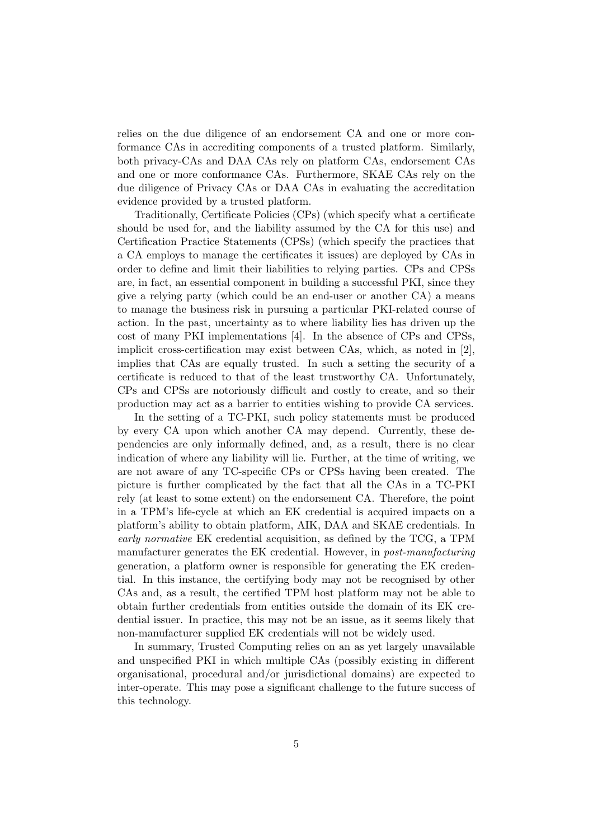relies on the due diligence of an endorsement CA and one or more conformance CAs in accrediting components of a trusted platform. Similarly, both privacy-CAs and DAA CAs rely on platform CAs, endorsement CAs and one or more conformance CAs. Furthermore, SKAE CAs rely on the due diligence of Privacy CAs or DAA CAs in evaluating the accreditation evidence provided by a trusted platform.

Traditionally, Certificate Policies (CPs) (which specify what a certificate should be used for, and the liability assumed by the CA for this use) and Certification Practice Statements (CPSs) (which specify the practices that a CA employs to manage the certificates it issues) are deployed by CAs in order to define and limit their liabilities to relying parties. CPs and CPSs are, in fact, an essential component in building a successful PKI, since they give a relying party (which could be an end-user or another CA) a means to manage the business risk in pursuing a particular PKI-related course of action. In the past, uncertainty as to where liability lies has driven up the cost of many PKI implementations [4]. In the absence of CPs and CPSs, implicit cross-certification may exist between CAs, which, as noted in [2], implies that CAs are equally trusted. In such a setting the security of a certificate is reduced to that of the least trustworthy CA. Unfortunately, CPs and CPSs are notoriously difficult and costly to create, and so their production may act as a barrier to entities wishing to provide CA services.

In the setting of a TC-PKI, such policy statements must be produced by every CA upon which another CA may depend. Currently, these dependencies are only informally defined, and, as a result, there is no clear indication of where any liability will lie. Further, at the time of writing, we are not aware of any TC-specific CPs or CPSs having been created. The picture is further complicated by the fact that all the CAs in a TC-PKI rely (at least to some extent) on the endorsement CA. Therefore, the point in a TPM's life-cycle at which an EK credential is acquired impacts on a platform's ability to obtain platform, AIK, DAA and SKAE credentials. In early normative EK credential acquisition, as defined by the TCG, a TPM manufacturer generates the EK credential. However, in post-manufacturing generation, a platform owner is responsible for generating the EK credential. In this instance, the certifying body may not be recognised by other CAs and, as a result, the certified TPM host platform may not be able to obtain further credentials from entities outside the domain of its EK credential issuer. In practice, this may not be an issue, as it seems likely that non-manufacturer supplied EK credentials will not be widely used.

In summary, Trusted Computing relies on an as yet largely unavailable and unspecified PKI in which multiple CAs (possibly existing in different organisational, procedural and/or jurisdictional domains) are expected to inter-operate. This may pose a significant challenge to the future success of this technology.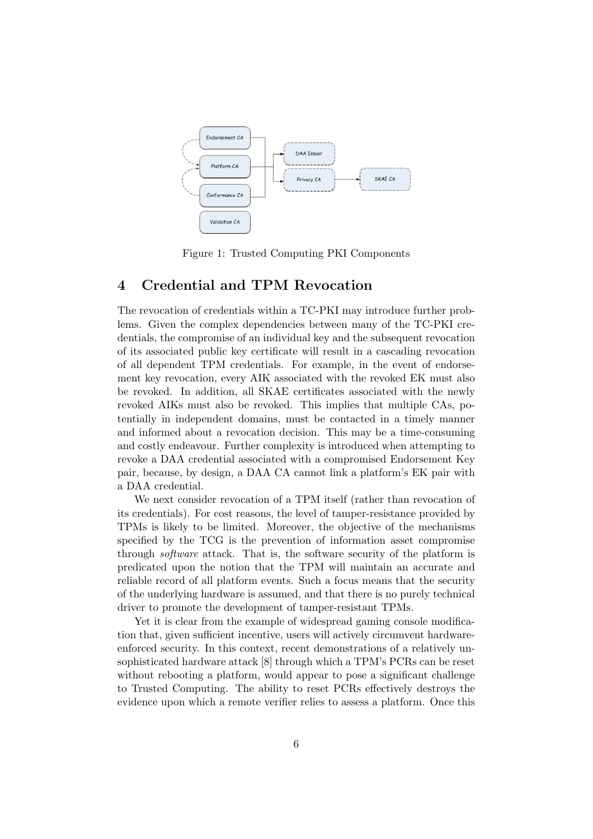

Figure 1: Trusted Computing PKI Components

#### 4 Credential and TPM Revocation

The revocation of credentials within a TC-PKI may introduce further problems. Given the complex dependencies between many of the TC-PKI credentials, the compromise of an individual key and the subsequent revocation of its associated public key certificate will result in a cascading revocation of all dependent TPM credentials. For example, in the event of endorsement key revocation, every AIK associated with the revoked EK must also be revoked. In addition, all SKAE certificates associated with the newly revoked AIKs must also be revoked. This implies that multiple CAs, potentially in independent domains, must be contacted in a timely manner and informed about a revocation decision. This may be a time-consuming and costly endeavour. Further complexity is introduced when attempting to revoke a DAA credential associated with a compromised Endorsement Key pair, because, by design, a DAA CA cannot link a platform's EK pair with a DAA credential.

We next consider revocation of a TPM itself (rather than revocation of its credentials). For cost reasons, the level of tamper-resistance provided by TPMs is likely to be limited. Moreover, the objective of the mechanisms specified by the TCG is the prevention of information asset compromise through software attack. That is, the software security of the platform is predicated upon the notion that the TPM will maintain an accurate and reliable record of all platform events. Such a focus means that the security of the underlying hardware is assumed, and that there is no purely technical driver to promote the development of tamper-resistant TPMs.

Yet it is clear from the example of widespread gaming console modification that, given sufficient incentive, users will actively circumvent hardwareenforced security. In this context, recent demonstrations of a relatively unsophisticated hardware attack [8] through which a TPM's PCRs can be reset without rebooting a platform, would appear to pose a significant challenge to Trusted Computing. The ability to reset PCRs effectively destroys the evidence upon which a remote verifier relies to assess a platform. Once this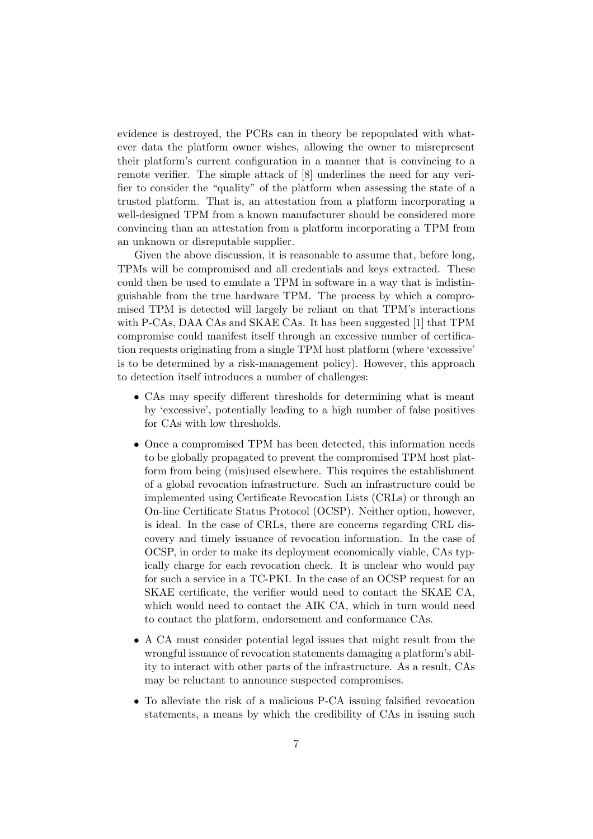evidence is destroyed, the PCRs can in theory be repopulated with whatever data the platform owner wishes, allowing the owner to misrepresent their platform's current configuration in a manner that is convincing to a remote verifier. The simple attack of [8] underlines the need for any verifier to consider the "quality" of the platform when assessing the state of a trusted platform. That is, an attestation from a platform incorporating a well-designed TPM from a known manufacturer should be considered more convincing than an attestation from a platform incorporating a TPM from an unknown or disreputable supplier.

Given the above discussion, it is reasonable to assume that, before long, TPMs will be compromised and all credentials and keys extracted. These could then be used to emulate a TPM in software in a way that is indistinguishable from the true hardware TPM. The process by which a compromised TPM is detected will largely be reliant on that TPM's interactions with P-CAs, DAA CAs and SKAE CAs. It has been suggested [1] that TPM compromise could manifest itself through an excessive number of certification requests originating from a single TPM host platform (where 'excessive' is to be determined by a risk-management policy). However, this approach to detection itself introduces a number of challenges:

- CAs may specify different thresholds for determining what is meant by 'excessive', potentially leading to a high number of false positives for CAs with low thresholds.
- Once a compromised TPM has been detected, this information needs to be globally propagated to prevent the compromised TPM host platform from being (mis)used elsewhere. This requires the establishment of a global revocation infrastructure. Such an infrastructure could be implemented using Certificate Revocation Lists (CRLs) or through an On-line Certificate Status Protocol (OCSP). Neither option, however, is ideal. In the case of CRLs, there are concerns regarding CRL discovery and timely issuance of revocation information. In the case of OCSP, in order to make its deployment economically viable, CAs typically charge for each revocation check. It is unclear who would pay for such a service in a TC-PKI. In the case of an OCSP request for an SKAE certificate, the verifier would need to contact the SKAE CA, which would need to contact the AIK CA, which in turn would need to contact the platform, endorsement and conformance CAs.
- A CA must consider potential legal issues that might result from the wrongful issuance of revocation statements damaging a platform's ability to interact with other parts of the infrastructure. As a result, CAs may be reluctant to announce suspected compromises.
- To alleviate the risk of a malicious P-CA issuing falsified revocation statements, a means by which the credibility of CAs in issuing such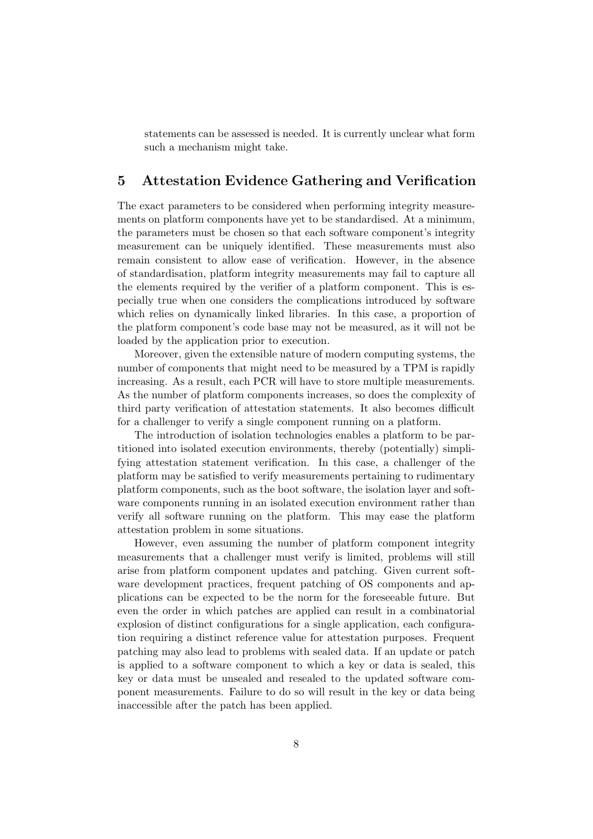statements can be assessed is needed. It is currently unclear what form such a mechanism might take.

## 5 Attestation Evidence Gathering and Verification

The exact parameters to be considered when performing integrity measurements on platform components have yet to be standardised. At a minimum, the parameters must be chosen so that each software component's integrity measurement can be uniquely identified. These measurements must also remain consistent to allow ease of verification. However, in the absence of standardisation, platform integrity measurements may fail to capture all the elements required by the verifier of a platform component. This is especially true when one considers the complications introduced by software which relies on dynamically linked libraries. In this case, a proportion of the platform component's code base may not be measured, as it will not be loaded by the application prior to execution.

Moreover, given the extensible nature of modern computing systems, the number of components that might need to be measured by a TPM is rapidly increasing. As a result, each PCR will have to store multiple measurements. As the number of platform components increases, so does the complexity of third party verification of attestation statements. It also becomes difficult for a challenger to verify a single component running on a platform.

The introduction of isolation technologies enables a platform to be partitioned into isolated execution environments, thereby (potentially) simplifying attestation statement verification. In this case, a challenger of the platform may be satisfied to verify measurements pertaining to rudimentary platform components, such as the boot software, the isolation layer and software components running in an isolated execution environment rather than verify all software running on the platform. This may ease the platform attestation problem in some situations.

However, even assuming the number of platform component integrity measurements that a challenger must verify is limited, problems will still arise from platform component updates and patching. Given current software development practices, frequent patching of OS components and applications can be expected to be the norm for the foreseeable future. But even the order in which patches are applied can result in a combinatorial explosion of distinct configurations for a single application, each configuration requiring a distinct reference value for attestation purposes. Frequent patching may also lead to problems with sealed data. If an update or patch is applied to a software component to which a key or data is sealed, this key or data must be unsealed and resealed to the updated software component measurements. Failure to do so will result in the key or data being inaccessible after the patch has been applied.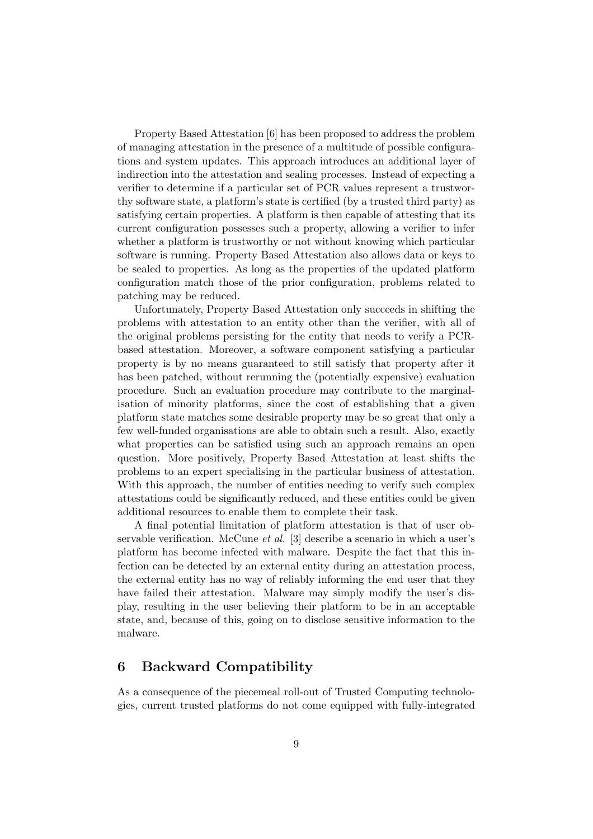Property Based Attestation [6] has been proposed to address the problem of managing attestation in the presence of a multitude of possible configurations and system updates. This approach introduces an additional layer of indirection into the attestation and sealing processes. Instead of expecting a verifier to determine if a particular set of PCR values represent a trustworthy software state, a platform's state is certified (by a trusted third party) as satisfying certain properties. A platform is then capable of attesting that its current configuration possesses such a property, allowing a verifier to infer whether a platform is trustworthy or not without knowing which particular software is running. Property Based Attestation also allows data or keys to be sealed to properties. As long as the properties of the updated platform configuration match those of the prior configuration, problems related to patching may be reduced.

Unfortunately, Property Based Attestation only succeeds in shifting the problems with attestation to an entity other than the verifier, with all of the original problems persisting for the entity that needs to verify a PCRbased attestation. Moreover, a software component satisfying a particular property is by no means guaranteed to still satisfy that property after it has been patched, without rerunning the (potentially expensive) evaluation procedure. Such an evaluation procedure may contribute to the marginalisation of minority platforms, since the cost of establishing that a given platform state matches some desirable property may be so great that only a few well-funded organisations are able to obtain such a result. Also, exactly what properties can be satisfied using such an approach remains an open question. More positively, Property Based Attestation at least shifts the problems to an expert specialising in the particular business of attestation. With this approach, the number of entities needing to verify such complex attestations could be significantly reduced, and these entities could be given additional resources to enable them to complete their task.

A final potential limitation of platform attestation is that of user observable verification. McCune et al. [3] describe a scenario in which a user's platform has become infected with malware. Despite the fact that this infection can be detected by an external entity during an attestation process, the external entity has no way of reliably informing the end user that they have failed their attestation. Malware may simply modify the user's display, resulting in the user believing their platform to be in an acceptable state, and, because of this, going on to disclose sensitive information to the malware.

#### 6 Backward Compatibility

As a consequence of the piecemeal roll-out of Trusted Computing technologies, current trusted platforms do not come equipped with fully-integrated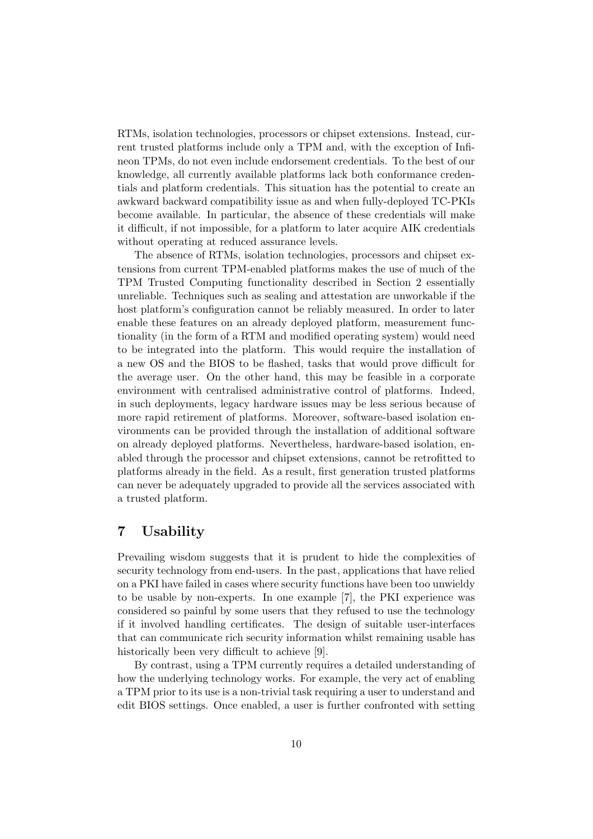RTMs, isolation technologies, processors or chipset extensions. Instead, current trusted platforms include only a TPM and, with the exception of Infineon TPMs, do not even include endorsement credentials. To the best of our knowledge, all currently available platforms lack both conformance credentials and platform credentials. This situation has the potential to create an awkward backward compatibility issue as and when fully-deployed TC-PKIs become available. In particular, the absence of these credentials will make it difficult, if not impossible, for a platform to later acquire AIK credentials without operating at reduced assurance levels.

The absence of RTMs, isolation technologies, processors and chipset extensions from current TPM-enabled platforms makes the use of much of the TPM Trusted Computing functionality described in Section 2 essentially unreliable. Techniques such as sealing and attestation are unworkable if the host platform's configuration cannot be reliably measured. In order to later enable these features on an already deployed platform, measurement functionality (in the form of a RTM and modified operating system) would need to be integrated into the platform. This would require the installation of a new OS and the BIOS to be flashed, tasks that would prove difficult for the average user. On the other hand, this may be feasible in a corporate environment with centralised administrative control of platforms. Indeed, in such deployments, legacy hardware issues may be less serious because of more rapid retirement of platforms. Moreover, software-based isolation environments can be provided through the installation of additional software on already deployed platforms. Nevertheless, hardware-based isolation, enabled through the processor and chipset extensions, cannot be retrofitted to platforms already in the field. As a result, first generation trusted platforms can never be adequately upgraded to provide all the services associated with a trusted platform.

#### 7 Usability

Prevailing wisdom suggests that it is prudent to hide the complexities of security technology from end-users. In the past, applications that have relied on a PKI have failed in cases where security functions have been too unwieldy to be usable by non-experts. In one example [7], the PKI experience was considered so painful by some users that they refused to use the technology if it involved handling certificates. The design of suitable user-interfaces that can communicate rich security information whilst remaining usable has historically been very difficult to achieve [9].

By contrast, using a TPM currently requires a detailed understanding of how the underlying technology works. For example, the very act of enabling a TPM prior to its use is a non-trivial task requiring a user to understand and edit BIOS settings. Once enabled, a user is further confronted with setting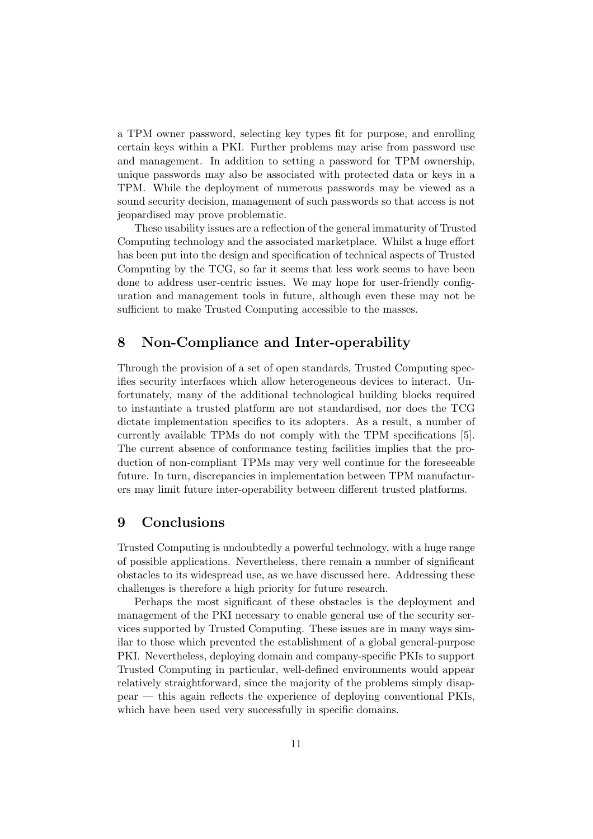a TPM owner password, selecting key types fit for purpose, and enrolling certain keys within a PKI. Further problems may arise from password use and management. In addition to setting a password for TPM ownership, unique passwords may also be associated with protected data or keys in a TPM. While the deployment of numerous passwords may be viewed as a sound security decision, management of such passwords so that access is not jeopardised may prove problematic.

These usability issues are a reflection of the general immaturity of Trusted Computing technology and the associated marketplace. Whilst a huge effort has been put into the design and specification of technical aspects of Trusted Computing by the TCG, so far it seems that less work seems to have been done to address user-centric issues. We may hope for user-friendly configuration and management tools in future, although even these may not be sufficient to make Trusted Computing accessible to the masses.

#### 8 Non-Compliance and Inter-operability

Through the provision of a set of open standards, Trusted Computing specifies security interfaces which allow heterogeneous devices to interact. Unfortunately, many of the additional technological building blocks required to instantiate a trusted platform are not standardised, nor does the TCG dictate implementation specifics to its adopters. As a result, a number of currently available TPMs do not comply with the TPM specifications [5]. The current absence of conformance testing facilities implies that the production of non-compliant TPMs may very well continue for the foreseeable future. In turn, discrepancies in implementation between TPM manufacturers may limit future inter-operability between different trusted platforms.

### 9 Conclusions

Trusted Computing is undoubtedly a powerful technology, with a huge range of possible applications. Nevertheless, there remain a number of significant obstacles to its widespread use, as we have discussed here. Addressing these challenges is therefore a high priority for future research.

Perhaps the most significant of these obstacles is the deployment and management of the PKI necessary to enable general use of the security services supported by Trusted Computing. These issues are in many ways similar to those which prevented the establishment of a global general-purpose PKI. Nevertheless, deploying domain and company-specific PKIs to support Trusted Computing in particular, well-defined environments would appear relatively straightforward, since the majority of the problems simply disappear — this again reflects the experience of deploying conventional PKIs, which have been used very successfully in specific domains.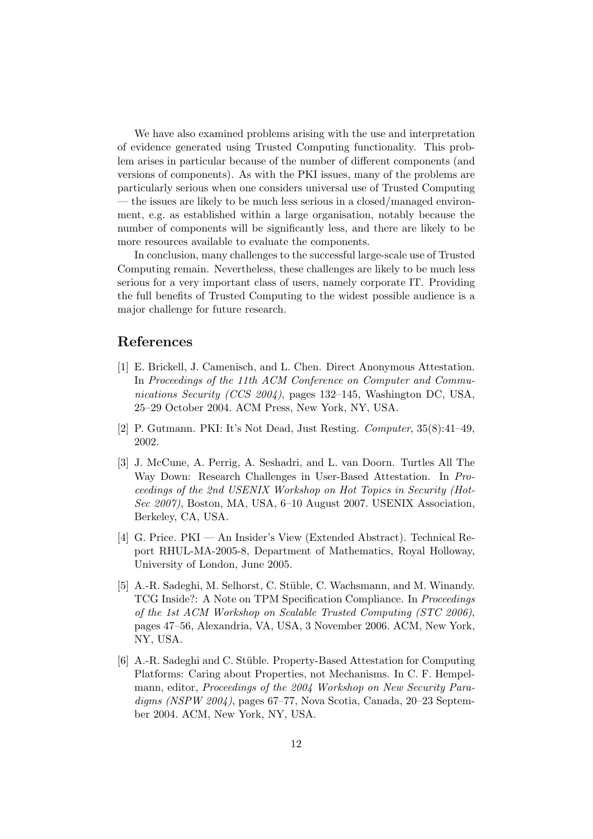We have also examined problems arising with the use and interpretation of evidence generated using Trusted Computing functionality. This problem arises in particular because of the number of different components (and versions of components). As with the PKI issues, many of the problems are particularly serious when one considers universal use of Trusted Computing — the issues are likely to be much less serious in a closed/managed environment, e.g. as established within a large organisation, notably because the number of components will be significantly less, and there are likely to be more resources available to evaluate the components.

In conclusion, many challenges to the successful large-scale use of Trusted Computing remain. Nevertheless, these challenges are likely to be much less serious for a very important class of users, namely corporate IT. Providing the full benefits of Trusted Computing to the widest possible audience is a major challenge for future research.

#### References

- [1] E. Brickell, J. Camenisch, and L. Chen. Direct Anonymous Attestation. In Proceedings of the 11th ACM Conference on Computer and Communications Security (CCS 2004), pages 132–145, Washington DC, USA, 25–29 October 2004. ACM Press, New York, NY, USA.
- [2] P. Gutmann. PKI: It's Not Dead, Just Resting. Computer, 35(8):41–49, 2002.
- [3] J. McCune, A. Perrig, A. Seshadri, and L. van Doorn. Turtles All The Way Down: Research Challenges in User-Based Attestation. In Proceedings of the 2nd USENIX Workshop on Hot Topics in Security (Hot-Sec 2007), Boston, MA, USA, 6-10 August 2007. USENIX Association, Berkeley, CA, USA.
- [4] G. Price. PKI An Insider's View (Extended Abstract). Technical Report RHUL-MA-2005-8, Department of Mathematics, Royal Holloway, University of London, June 2005.
- [5] A.-R. Sadeghi, M. Selhorst, C. Stüble, C. Wachsmann, and M. Winandy. TCG Inside?: A Note on TPM Specification Compliance. In Proceedings of the 1st ACM Workshop on Scalable Trusted Computing (STC 2006), pages 47–56, Alexandria, VA, USA, 3 November 2006. ACM, New York, NY, USA.
- [6] A.-R. Sadeghi and C. St¨uble. Property-Based Attestation for Computing Platforms: Caring about Properties, not Mechanisms. In C. F. Hempelmann, editor, Proceedings of the 2004 Workshop on New Security Paradigms (NSPW 2004), pages 67–77, Nova Scotia, Canada, 20–23 September 2004. ACM, New York, NY, USA.